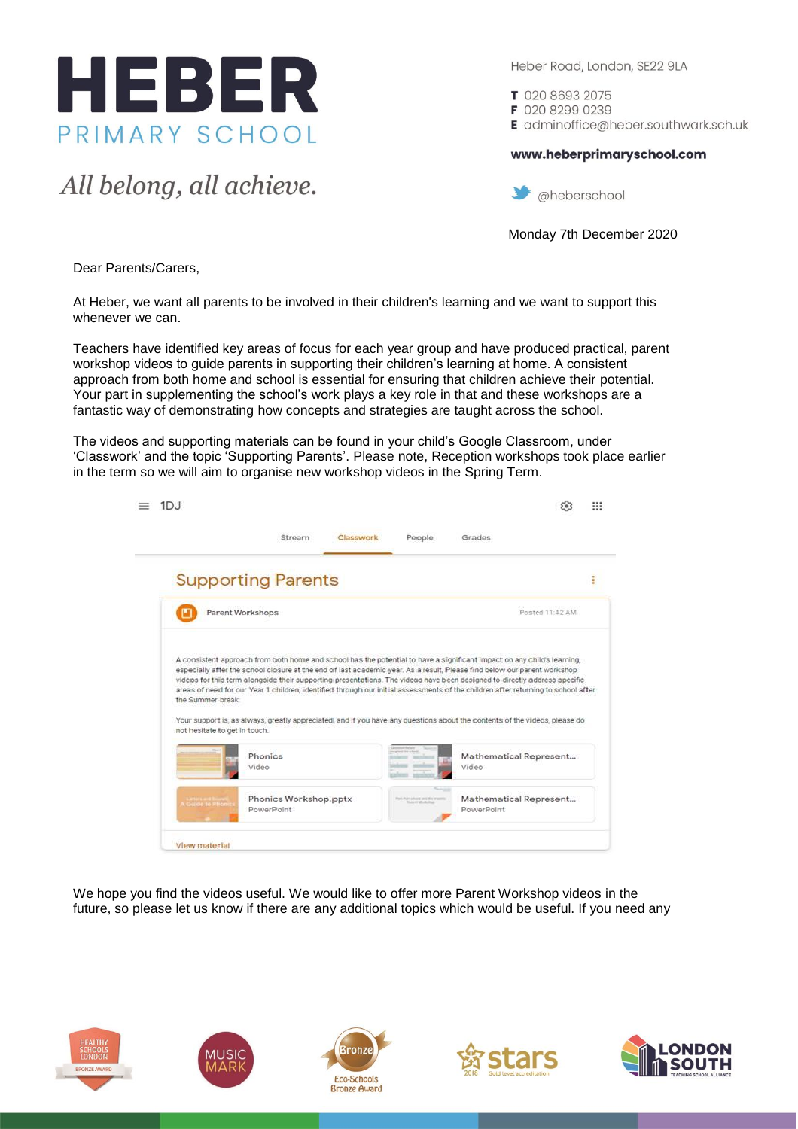

All belong, all achieve.

Heber Road, London, SE22 9LA

T 020 8693 2075

F 020 8299 0239 E adminoffice@heber.southwark.sch.uk

www.heberprimaryschool.com



Monday 7th December 2020

Dear Parents/Carers,

At Heber, we want all parents to be involved in their children's learning and we want to support this whenever we can.

Teachers have identified key areas of focus for each year group and have produced practical, parent workshop videos to guide parents in supporting their children's learning at home. A consistent approach from both home and school is essential for ensuring that children achieve their potential. Your part in supplementing the school's work plays a key role in that and these workshops are a fantastic way of demonstrating how concepts and strategies are taught across the school.

The videos and supporting materials can be found in your child's Google Classroom, under 'Classwork' and the topic 'Supporting Parents'. Please note, Reception workshops took place earlier in the term so we will aim to organise new workshop videos in the Spring Term.

|                                                    | Stream                                                                                                                                                                                                                                                                                                                                                                                                                                                                                                                   | Classwork | People | Grades                          |                 |
|----------------------------------------------------|--------------------------------------------------------------------------------------------------------------------------------------------------------------------------------------------------------------------------------------------------------------------------------------------------------------------------------------------------------------------------------------------------------------------------------------------------------------------------------------------------------------------------|-----------|--------|---------------------------------|-----------------|
|                                                    | <b>Supporting Parents</b>                                                                                                                                                                                                                                                                                                                                                                                                                                                                                                |           |        |                                 |                 |
|                                                    | Parent Workshops                                                                                                                                                                                                                                                                                                                                                                                                                                                                                                         |           |        |                                 | Posted 11:42 AM |
|                                                    | A consistent approach from both home and school has the potential to have a significant impact on any child's learning.                                                                                                                                                                                                                                                                                                                                                                                                  |           |        |                                 |                 |
| the Summer break:<br>not hesitate to get in touch. | especially after the school closure at the end of last academic year. As a result, Please find below our parent workshop<br>videos for this term alongside their supporting presentations. The videos have been designed to directly address specific<br>areas of need for our Year 1 children, identified through our initial assessments of the children after returning to school after<br>Your support is, as always, greatly appreciated, and if you have any questions about the contents of the videos, please do |           |        |                                 |                 |
|                                                    | Phonics<br>Video                                                                                                                                                                                                                                                                                                                                                                                                                                                                                                         |           |        | Mathematical Represent<br>Video |                 |

We hope you find the videos useful. We would like to offer more Parent Workshop videos in the future, so please let us know if there are any additional topics which would be useful. If you need any